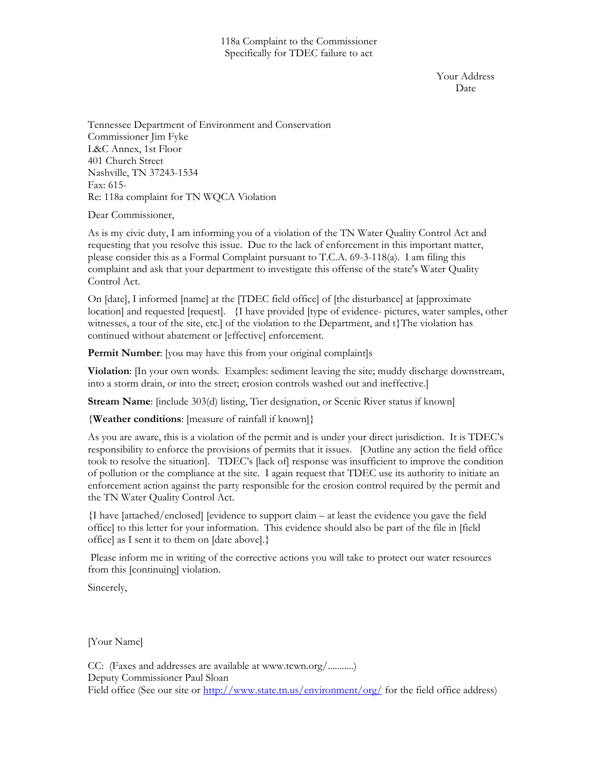Your Address Date **Date** 

Tennessee Department of Environment and Conservation Commissioner Jim Fyke L&C Annex, 1st Floor 401 Church Street Nashville, TN 37243-1534 Fax: 615- Re: 118a complaint for TN WQCA Violation

Dear Commissioner,

As is my civic duty, I am informing you of a violation of the TN Water Quality Control Act and requesting that you resolve this issue. Due to the lack of enforcement in this important matter, please consider this as a Formal Complaint pursuant to T.C.A. 69-3-118(a). I am filing this complaint and ask that your department to investigate this offense of the state's Water Quality Control Act.

On [date], I informed [name] at the [TDEC field office] of [the disturbance] at [approximate location] and requested [request]. {I have provided [type of evidence- pictures, water samples, other witnesses, a tour of the site, etc.] of the violation to the Department, and t}The violation has continued without abatement or [effective] enforcement.

Permit Number: [you may have this from your original complaint]s

**Violation**: [In your own words. Examples: sediment leaving the site; muddy discharge downstream, into a storm drain, or into the street; erosion controls washed out and ineffective.]

**Stream Name**: [include 303(d) listing, Tier designation, or Scenic River status if known]

{**Weather conditions**: [measure of rainfall if known]}

As you are aware, this is a violation of the permit and is under your direct jurisdiction. It is TDEC's responsibility to enforce the provisions of permits that it issues. [Outline any action the field office took to resolve the situation]. TDEC's [lack of] response was insufficient to improve the condition of pollution or the compliance at the site. I again request that TDEC use its authority to initiate an enforcement action against the party responsible for the erosion control required by the permit and the TN Water Quality Control Act.

{I have [attached/enclosed] [evidence to support claim – at least the evidence you gave the field office] to this letter for your information. This evidence should also be part of the file in [field office] as I sent it to them on [date above].}

 Please inform me in writing of the corrective actions you will take to protect our water resources from this [continuing] violation.

Sincerely,

[Your Name]

CC: (Faxes and addresses are available at www.tcwn.org/...........) Deputy Commissioner Paul Sloan Field office (See our site or<http://www.state.tn.us/environment/org/> for the field office address)